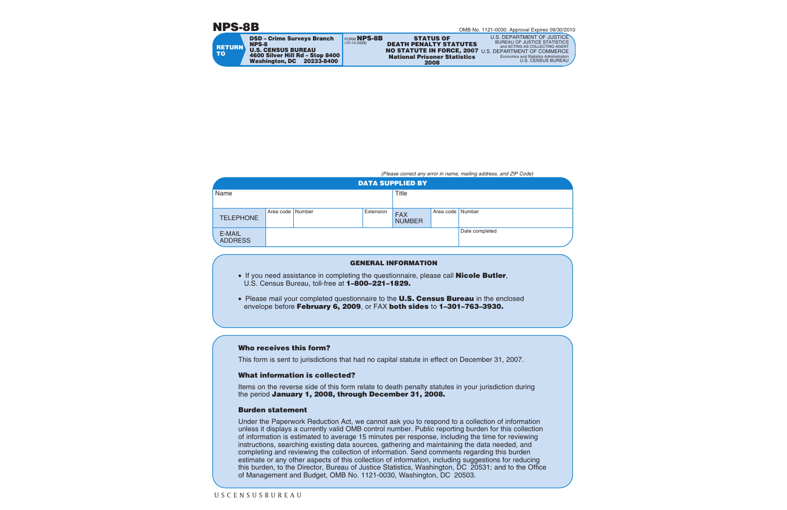# **NPS-8B**

| <b>RETURN</b><br><b>TO</b> | <b>DSD - Crime Surveys Branch</b><br><b>NPS-8</b><br><b>U.S. CENSUS BUREAU</b><br>4600 Silver Hill Rd - Stop 8400<br>Washington, DC<br>20233-8400 | <b>FORM NPS-8B</b><br>$(10-14-2008)$ | <b>STATUS OF</b><br><b>DEATH PENALTY STATUTES</b><br>NO STATUTE IN FORCE, 2007 U.S. DEPARTMENT OF COMMERCE<br><b>National Prisoner Statistics</b><br>2008 | U.S. DEPARTMENT OF JUSTICE<br><b>BUREAU OF JUSTICE STATISTICS</b><br>and ACTING AS COLLECTING AGENT<br>Economics and Statistics Administration<br>U.S. CENSUS BUREAU |
|----------------------------|---------------------------------------------------------------------------------------------------------------------------------------------------|--------------------------------------|-----------------------------------------------------------------------------------------------------------------------------------------------------------|----------------------------------------------------------------------------------------------------------------------------------------------------------------------|
|                            |                                                                                                                                                   |                                      |                                                                                                                                                           |                                                                                                                                                                      |

*(Please correct any error in name, mailing address, and ZIP Code)*

| <b>DATA SUPPLIED BY</b>  |                  |  |           |                             |                  |                |
|--------------------------|------------------|--|-----------|-----------------------------|------------------|----------------|
| Name                     |                  |  |           | Title                       |                  |                |
|                          |                  |  |           |                             |                  |                |
| <b>TELEPHONE</b>         | Area code Number |  | Extension | <b>FAX</b><br><b>NUMBER</b> | Area code Number |                |
| E-MAIL<br><b>ADDRESS</b> |                  |  |           |                             |                  | Date completed |

## **GENERAL INFORMATION**

- If you need assistance in completing the questionnaire, please call **Nicole Butler**, U.S. Census Bureau, toll-free at **1–800–221–1829.**
- Please mail your completed questionnaire to the **U.S. Census Bureau** in the enclosed envelope before **February 6, 2009**, or FAX **both sides** to **1–301–763–3930.**

### **Who receives this form?**

This form is sent to jurisdictions that had no capital statute in effect on December 31, 2007.

### **What information is collected?**

Items on the reverse side of this form relate to death penalty statutes in your jurisdiction during the period **January 1, 2008, through December 31, 2008.**

### **Burden statement**

Under the Paperwork Reduction Act, we cannot ask you to respond to a collection of information unless it displays a currently valid OMB control number. Public reporting burden for this collection of information is estimated to average 15 minutes per response, including the time for reviewing instructions, searching existing data sources, gathering and maintaining the data needed, and completing and reviewing the collection of information. Send comments regarding this burden estimate or any other aspects of this collection of information, including suggestions for reducing this burden, to the Director, Bureau of Justice Statistics, Washington, DC 20531; and to the Office of Management and Budget, OMB No. 1121-0030, Washington, DC 20503.